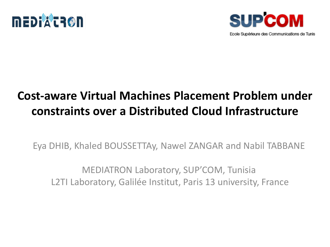



### **Cost-aware Virtual Machines Placement Problem under constraints over a Distributed Cloud Infrastructure**

Eya DHIB, Khaled BOUSSETTAy, Nawel ZANGAR and Nabil TABBANE

MEDIATRON Laboratory, SUP'COM, Tunisia L2TI Laboratory, Galilée Institut, Paris 13 university, France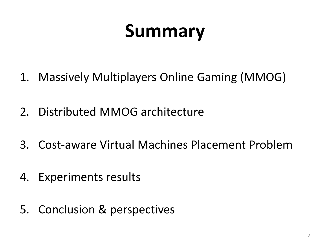# **Summary**

- 1. Massively Multiplayers Online Gaming (MMOG)
- 2. Distributed MMOG architecture
- 3. Cost-aware Virtual Machines Placement Problem
- 4. Experiments results
- 5. Conclusion & perspectives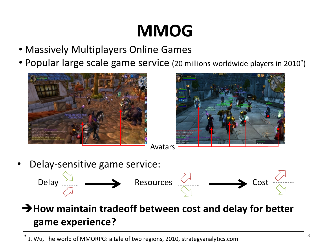### **MMOG**

- Massively Multiplayers Online Games
- Popular large scale game service (20 millions worldwide players in 2010\* )





Delay-sensitive game service:



**How maintain tradeoff between cost and delay for better game experience?**

\* J. Wu, The world of MMORPG: a tale of two regions, 2010, strategyanalytics.com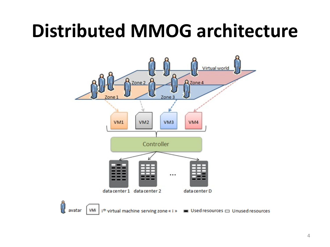### **Distributed MMOG architecture**

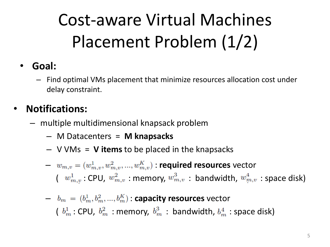## Cost-aware Virtual Machines Placement Problem (1/2)

#### • **Goal:**

– Find optimal VMs placement that minimize resources allocation cost under delay constraint.

### • **Notifications:**

- multiple multidimensional knapsack problem
	- M Datacenters = **M knapsacks**
	- V VMs = **V items** to be placed in the knapsacks

 $v_{m,v} = (w_{m,v}^1, w_{m,v}^2, ..., w_{m,v}^K)$  **required resources** vector  $(w_{m,v}^1 : \text{CPU}, w_{m,v}^2 : \text{memory}, w_{m,v}^3 : \text{ bandwidth}, w_{m,v}^4 : \text{space disk})$ 

\n- \n
$$
b_m = (b_m^1, b_m^2, \ldots, b_m^K)
$$
: capacity resources vector\n
\n- \n $(b_m^1 : \text{CPU}, b_m^2 : \text{memory}, b_m^3 : \text{ bandwidth}, b_m^4 : \text{space disk})$ \n
\n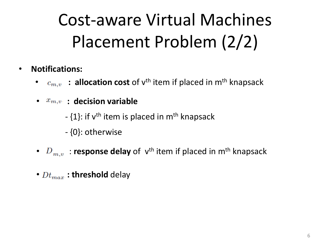## Cost-aware Virtual Machines Placement Problem (2/2)

- **Notifications:**
	- $\bullet$   $c_{m,v}$  : allocation cost of v<sup>th</sup> item if placed in m<sup>th</sup> knapsack
	- $\bullet$   $x_{m,v}$  : decision variable
		- {1}: if v<sup>th</sup> item is placed in m<sup>th</sup> knapsack
		- {0}: otherwise
	- $D_{m,v}$ : response delay of v<sup>th</sup> item if placed in m<sup>th</sup> knapsack
	- $\bullet$   $Dt_{max}$ : threshold delay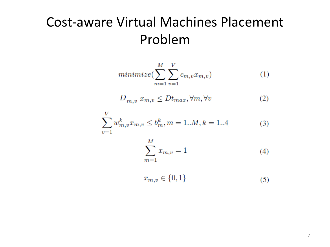### Cost-aware Virtual Machines Placement Problem

$$
minimize \left( \sum_{m=1}^{M} \sum_{v=1}^{V} c_{m,v} x_{m,v} \right) \tag{1}
$$

$$
D_{m,v} x_{m,v} \le D t_{max}, \forall m, \forall v \tag{2}
$$

$$
\sum_{v=1}^{V} w_{m,v}^{k} x_{m,v} \le b_m^{k}, m = 1...M, k = 1...4
$$
 (3)

$$
\sum_{m=1}^{M} x_{m,v} = 1
$$
\n(4)

$$
x_{m,v} \in \{0,1\} \tag{5}
$$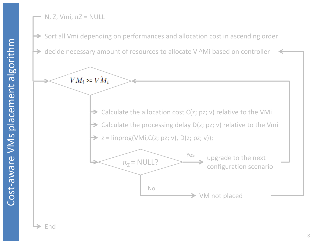Cost-aware VMs placement algorithm -aware VMs placement algorithm N, Z, Vmi,  $πZ = NULL$ 

 $\rightarrow$  Sort all Vmi depending on performances and allocation cost in ascending order

 $\rightarrow$  decide necessary amount of resources to allocate V ^Mi based on controller

 $VM_i \geq V \hat{M}_i$ 



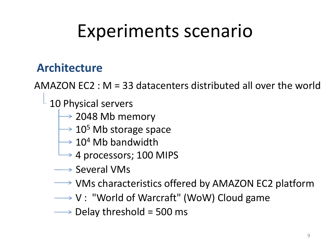### Experiments scenario

### **Architecture**

AMAZON EC2 : M = 33 datacenters distributed all over the world

10 Physical servers

- $\rightarrow$  2048 Mb memory
- $\rightarrow$  10<sup>5</sup> Mb storage space
- $\rightarrow$  10<sup>4</sup> Mb bandwidth
- $\rightarrow$  4 processors; 100 MIPS
- $\rightarrow$  Several VMs
- $\rightarrow$  VMs characteristics offered by AMAZON EC2 platform
- $\longrightarrow V$  : "World of Warcraft" (WoW) Cloud game
- $\longrightarrow$  Delay threshold = 500 ms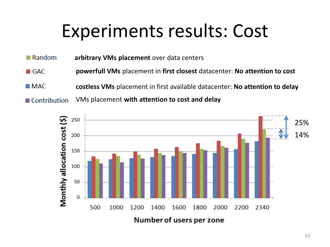### Experiments results: Cost

- $\blacksquare$  Random **arbitrary VMs placement** over data centers
- **powerfull VMs** placement in **first closest** datacenter: **No attention to cost**  $\blacksquare$  GAC
- $MAC$ **costless VMs** placement in first available datacenter: **No attention to delay**
- VMs placement **with attention to cost and delay** ■ Contribution

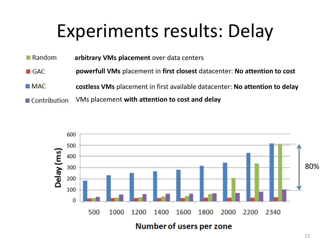### Experiments results: Delay

- $\blacksquare$  Random **arbitrary VMs placement** over data centers
- $\blacksquare$  GAC **powerfull VMs** placement in **first closest** datacenter: **No attention to cost**
- $MAC$ **costless VMs** placement in first available datacenter: **No attention to delay**
- **Contribution** VMs placement **with attention to cost and delay**

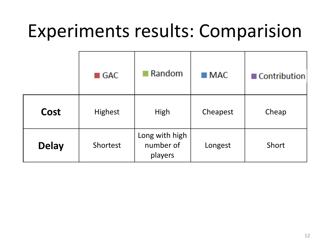### Experiments results: Comparision

|              | $\blacksquare$ GAC | Random                                 | $\blacksquare$ MAC | <b>■ Contribution</b> |
|--------------|--------------------|----------------------------------------|--------------------|-----------------------|
| Cost         | <b>Highest</b>     | High                                   | Cheapest           | Cheap                 |
| <b>Delay</b> | Shortest           | Long with high<br>number of<br>players | Longest            | Short                 |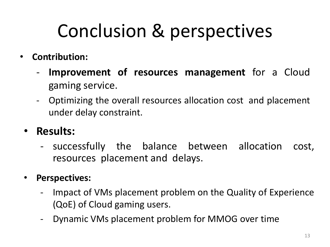# Conclusion & perspectives

- **Contribution:**
	- **Improvement of resources management** for a Cloud gaming service.
	- Optimizing the overall resources allocation cost and placement under delay constraint.
	- **Results:**
		- successfully the balance between allocation cost, resources placement and delays.
	- **Perspectives:**
		- Impact of VMs placement problem on the Quality of Experience (QoE) of Cloud gaming users.
		- Dynamic VMs placement problem for MMOG over time